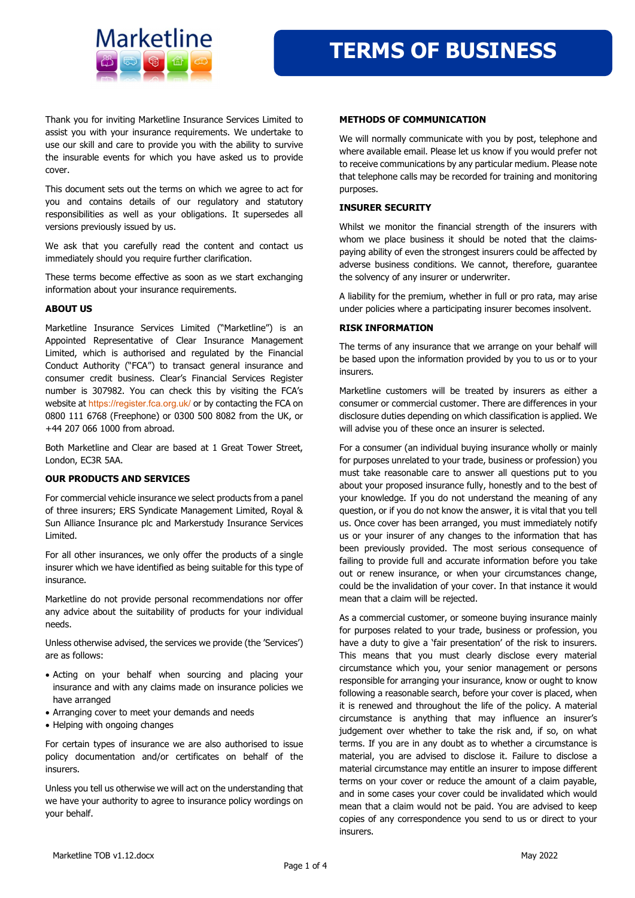

Thank you for inviting Marketline Insurance Services Limited to assist you with your insurance requirements. We undertake to use our skill and care to provide you with the ability to survive the insurable events for which you have asked us to provide cover.

This document sets out the terms on which we agree to act for you and contains details of our regulatory and statutory responsibilities as well as your obligations. It supersedes all versions previously issued by us.

We ask that you carefully read the content and contact us immediately should you require further clarification.

These terms become effective as soon as we start exchanging information about your insurance requirements.

### ABOUT US

Marketline Insurance Services Limited ("Marketline") is an Appointed Representative of Clear Insurance Management Limited, which is authorised and regulated by the Financial Conduct Authority ("FCA") to transact general insurance and consumer credit business. Clear's Financial Services Register number is 307982. You can check this by visiting the FCA's website at https://register.fca.org.uk/ or by contacting the FCA on 0800 111 6768 (Freephone) or 0300 500 8082 from the UK, or +44 207 066 1000 from abroad.

Both Marketline and Clear are based at 1 Great Tower Street, London, EC3R 5AA.

### OUR PRODUCTS AND SERVICES

For commercial vehicle insurance we select products from a panel of three insurers; ERS Syndicate Management Limited, Royal & Sun Alliance Insurance plc and Markerstudy Insurance Services Limited.

For all other insurances, we only offer the products of a single insurer which we have identified as being suitable for this type of insurance.

Marketline do not provide personal recommendations nor offer any advice about the suitability of products for your individual needs.

Unless otherwise advised, the services we provide (the 'Services') are as follows:

- Acting on your behalf when sourcing and placing your insurance and with any claims made on insurance policies we have arranged
- Arranging cover to meet your demands and needs
- Helping with ongoing changes

For certain types of insurance we are also authorised to issue policy documentation and/or certificates on behalf of the insurers.

Unless you tell us otherwise we will act on the understanding that we have your authority to agree to insurance policy wordings on your behalf.

#### METHODS OF COMMUNICATION

We will normally communicate with you by post, telephone and where available email. Please let us know if you would prefer not to receive communications by any particular medium. Please note that telephone calls may be recorded for training and monitoring purposes.

## INSURER SECURITY

Whilst we monitor the financial strength of the insurers with whom we place business it should be noted that the claimspaying ability of even the strongest insurers could be affected by adverse business conditions. We cannot, therefore, guarantee the solvency of any insurer or underwriter.

A liability for the premium, whether in full or pro rata, may arise under policies where a participating insurer becomes insolvent.

#### RISK INFORMATION

The terms of any insurance that we arrange on your behalf will be based upon the information provided by you to us or to your insurers.

Marketline customers will be treated by insurers as either a consumer or commercial customer. There are differences in your disclosure duties depending on which classification is applied. We will advise you of these once an insurer is selected.

For a consumer (an individual buying insurance wholly or mainly for purposes unrelated to your trade, business or profession) you must take reasonable care to answer all questions put to you about your proposed insurance fully, honestly and to the best of your knowledge. If you do not understand the meaning of any question, or if you do not know the answer, it is vital that you tell us. Once cover has been arranged, you must immediately notify us or your insurer of any changes to the information that has been previously provided. The most serious consequence of failing to provide full and accurate information before you take out or renew insurance, or when your circumstances change, could be the invalidation of your cover. In that instance it would mean that a claim will be rejected.

As a commercial customer, or someone buying insurance mainly for purposes related to your trade, business or profession, you have a duty to give a 'fair presentation' of the risk to insurers. This means that you must clearly disclose every material circumstance which you, your senior management or persons responsible for arranging your insurance, know or ought to know following a reasonable search, before your cover is placed, when it is renewed and throughout the life of the policy. A material circumstance is anything that may influence an insurer's judgement over whether to take the risk and, if so, on what terms. If you are in any doubt as to whether a circumstance is material, you are advised to disclose it. Failure to disclose a material circumstance may entitle an insurer to impose different terms on your cover or reduce the amount of a claim payable, and in some cases your cover could be invalidated which would mean that a claim would not be paid. You are advised to keep copies of any correspondence you send to us or direct to your insurers.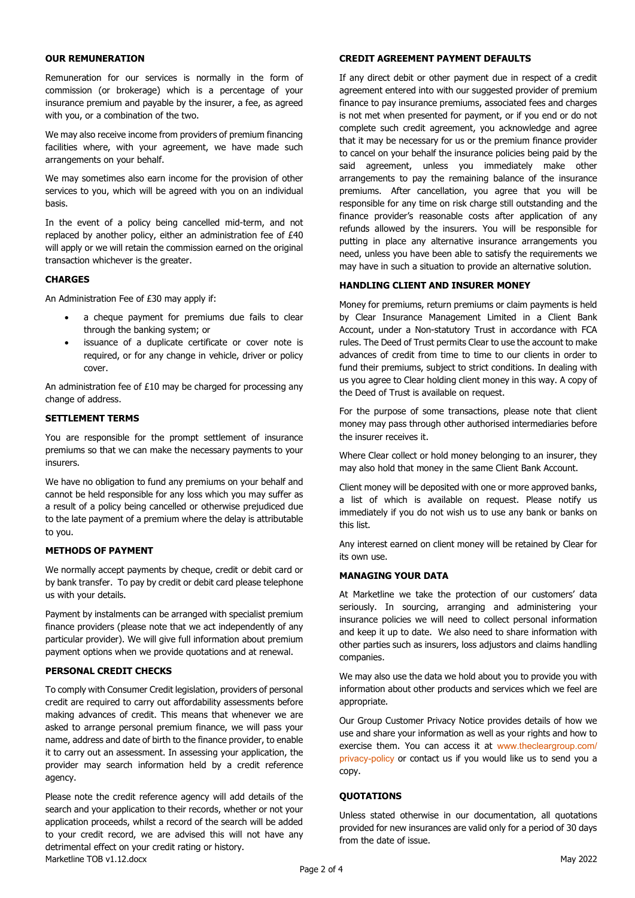## OUR REMUNERATION

Remuneration for our services is normally in the form of commission (or brokerage) which is a percentage of your insurance premium and payable by the insurer, a fee, as agreed with you, or a combination of the two.

We may also receive income from providers of premium financing facilities where, with your agreement, we have made such arrangements on your behalf.

We may sometimes also earn income for the provision of other services to you, which will be agreed with you on an individual basis.

In the event of a policy being cancelled mid-term, and not replaced by another policy, either an administration fee of £40 will apply or we will retain the commission earned on the original transaction whichever is the greater.

# **CHARGES**

An Administration Fee of £30 may apply if:

- a cheque payment for premiums due fails to clear through the banking system; or
- issuance of a duplicate certificate or cover note is required, or for any change in vehicle, driver or policy cover.

An administration fee of £10 may be charged for processing any change of address.

## SETTLEMENT TERMS

You are responsible for the prompt settlement of insurance premiums so that we can make the necessary payments to your insurers.

We have no obligation to fund any premiums on your behalf and cannot be held responsible for any loss which you may suffer as a result of a policy being cancelled or otherwise prejudiced due to the late payment of a premium where the delay is attributable to you.

### METHODS OF PAYMENT

We normally accept payments by cheque, credit or debit card or by bank transfer. To pay by credit or debit card please telephone us with your details.

Payment by instalments can be arranged with specialist premium finance providers (please note that we act independently of any particular provider). We will give full information about premium payment options when we provide quotations and at renewal.

## PERSONAL CREDIT CHECKS

To comply with Consumer Credit legislation, providers of personal credit are required to carry out affordability assessments before making advances of credit. This means that whenever we are asked to arrange personal premium finance, we will pass your name, address and date of birth to the finance provider, to enable it to carry out an assessment. In assessing your application, the provider may search information held by a credit reference agency.

Marketline TOB v1.12.docx May 2022 Please note the credit reference agency will add details of the search and your application to their records, whether or not your application proceeds, whilst a record of the search will be added to your credit record, we are advised this will not have any detrimental effect on your credit rating or history.

### CREDIT AGREEMENT PAYMENT DEFAULTS

If any direct debit or other payment due in respect of a credit agreement entered into with our suggested provider of premium finance to pay insurance premiums, associated fees and charges is not met when presented for payment, or if you end or do not complete such credit agreement, you acknowledge and agree that it may be necessary for us or the premium finance provider to cancel on your behalf the insurance policies being paid by the said agreement, unless you immediately make other arrangements to pay the remaining balance of the insurance premiums. After cancellation, you agree that you will be responsible for any time on risk charge still outstanding and the finance provider's reasonable costs after application of any refunds allowed by the insurers. You will be responsible for putting in place any alternative insurance arrangements you need, unless you have been able to satisfy the requirements we may have in such a situation to provide an alternative solution.

### HANDLING CLIENT AND INSURER MONEY

Money for premiums, return premiums or claim payments is held by Clear Insurance Management Limited in a Client Bank Account, under a Non-statutory Trust in accordance with FCA rules. The Deed of Trust permits Clear to use the account to make advances of credit from time to time to our clients in order to fund their premiums, subject to strict conditions. In dealing with us you agree to Clear holding client money in this way. A copy of the Deed of Trust is available on request.

For the purpose of some transactions, please note that client money may pass through other authorised intermediaries before the insurer receives it.

Where Clear collect or hold money belonging to an insurer, they may also hold that money in the same Client Bank Account.

Client money will be deposited with one or more approved banks, a list of which is available on request. Please notify us immediately if you do not wish us to use any bank or banks on this list.

Any interest earned on client money will be retained by Clear for its own use.

### MANAGING YOUR DATA

At Marketline we take the protection of our customers' data seriously. In sourcing, arranging and administering your insurance policies we will need to collect personal information and keep it up to date. We also need to share information with other parties such as insurers, loss adjustors and claims handling companies.

We may also use the data we hold about you to provide you with information about other products and services which we feel are appropriate.

Our Group Customer Privacy Notice provides details of how we use and share your information as well as your rights and how to exercise them. You can access it at www.thecleargroup.com/ privacy-policy or contact us if you would like us to send you a copy.

### **QUOTATIONS**

Unless stated otherwise in our documentation, all quotations provided for new insurances are valid only for a period of 30 days from the date of issue.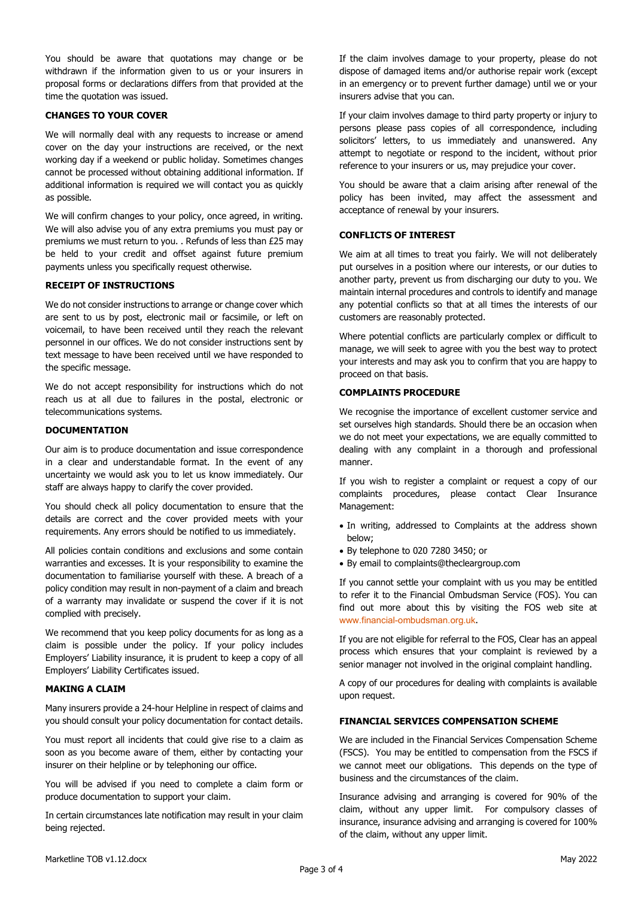You should be aware that quotations may change or be withdrawn if the information given to us or your insurers in proposal forms or declarations differs from that provided at the time the quotation was issued.

# CHANGES TO YOUR COVER

We will normally deal with any requests to increase or amend cover on the day your instructions are received, or the next working day if a weekend or public holiday. Sometimes changes cannot be processed without obtaining additional information. If additional information is required we will contact you as quickly as possible.

We will confirm changes to your policy, once agreed, in writing. We will also advise you of any extra premiums you must pay or premiums we must return to you. . Refunds of less than £25 may be held to your credit and offset against future premium payments unless you specifically request otherwise.

## RECEIPT OF INSTRUCTIONS

We do not consider instructions to arrange or change cover which are sent to us by post, electronic mail or facsimile, or left on voicemail, to have been received until they reach the relevant personnel in our offices. We do not consider instructions sent by text message to have been received until we have responded to the specific message.

We do not accept responsibility for instructions which do not reach us at all due to failures in the postal, electronic or telecommunications systems.

## DOCUMENTATION

Our aim is to produce documentation and issue correspondence in a clear and understandable format. In the event of any uncertainty we would ask you to let us know immediately. Our staff are always happy to clarify the cover provided.

You should check all policy documentation to ensure that the details are correct and the cover provided meets with your requirements. Any errors should be notified to us immediately.

All policies contain conditions and exclusions and some contain warranties and excesses. It is your responsibility to examine the documentation to familiarise yourself with these. A breach of a policy condition may result in non-payment of a claim and breach of a warranty may invalidate or suspend the cover if it is not complied with precisely.

We recommend that you keep policy documents for as long as a claim is possible under the policy. If your policy includes Employers' Liability insurance, it is prudent to keep a copy of all Employers' Liability Certificates issued.

### MAKING A CLAIM

Many insurers provide a 24-hour Helpline in respect of claims and you should consult your policy documentation for contact details.

You must report all incidents that could give rise to a claim as soon as you become aware of them, either by contacting your insurer on their helpline or by telephoning our office.

You will be advised if you need to complete a claim form or produce documentation to support your claim.

In certain circumstances late notification may result in your claim being rejected.

If the claim involves damage to your property, please do not dispose of damaged items and/or authorise repair work (except in an emergency or to prevent further damage) until we or your insurers advise that you can.

If your claim involves damage to third party property or injury to persons please pass copies of all correspondence, including solicitors' letters, to us immediately and unanswered. Any attempt to negotiate or respond to the incident, without prior reference to your insurers or us, may prejudice your cover.

You should be aware that a claim arising after renewal of the policy has been invited, may affect the assessment and acceptance of renewal by your insurers.

## CONFLICTS OF INTEREST

We aim at all times to treat you fairly. We will not deliberately put ourselves in a position where our interests, or our duties to another party, prevent us from discharging our duty to you. We maintain internal procedures and controls to identify and manage any potential conflicts so that at all times the interests of our customers are reasonably protected.

Where potential conflicts are particularly complex or difficult to manage, we will seek to agree with you the best way to protect your interests and may ask you to confirm that you are happy to proceed on that basis.

### COMPLAINTS PROCEDURE

We recognise the importance of excellent customer service and set ourselves high standards. Should there be an occasion when we do not meet your expectations, we are equally committed to dealing with any complaint in a thorough and professional manner.

If you wish to register a complaint or request a copy of our complaints procedures, please contact Clear Insurance Management:

- In writing, addressed to Complaints at the address shown below;
- By telephone to 020 7280 3450; or
- By email to complaints@thecleargroup.com

If you cannot settle your complaint with us you may be entitled to refer it to the Financial Ombudsman Service (FOS). You can find out more about this by visiting the FOS web site at www.financial-ombudsman.org.uk.

If you are not eligible for referral to the FOS, Clear has an appeal process which ensures that your complaint is reviewed by a senior manager not involved in the original complaint handling.

A copy of our procedures for dealing with complaints is available upon request.

## FINANCIAL SERVICES COMPENSATION SCHEME

We are included in the Financial Services Compensation Scheme (FSCS). You may be entitled to compensation from the FSCS if we cannot meet our obligations. This depends on the type of business and the circumstances of the claim.

Insurance advising and arranging is covered for 90% of the claim, without any upper limit. For compulsory classes of insurance, insurance advising and arranging is covered for 100% of the claim, without any upper limit.